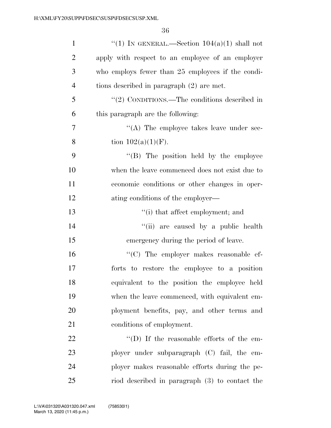36

| $\mathbf{1}$   | "(1) IN GENERAL.—Section $104(a)(1)$ shall not    |
|----------------|---------------------------------------------------|
| $\overline{2}$ | apply with respect to an employee of an employer  |
| 3              | who employs fewer than 25 employees if the condi- |
| $\overline{4}$ | tions described in paragraph $(2)$ are met.       |
| 5              | " $(2)$ CONDITIONS.—The conditions described in   |
| 6              | this paragraph are the following:                 |
| 7              | $\lq\lq$ . The employee takes leave under sec-    |
| 8              | tion $102(a)(1)(F)$ .                             |
| 9              | "(B) The position held by the employee            |
| 10             | when the leave commenced does not exist due to    |
| 11             | economic conditions or other changes in oper-     |
| 12             | ating conditions of the employer—                 |
| 13             | "(i) that affect employment; and                  |
| 14             | "(ii) are caused by a public health               |
| 15             | emergency during the period of leave.             |
| 16             | "(C) The employer makes reasonable ef-            |
| 17             | forts to restore the employee to a position       |
| 18             | equivalent to the position the employee held      |
| 19             | when the leave commenced, with equivalent em-     |
| 20             | ployment benefits, pay, and other terms and       |
| 21             | conditions of employment.                         |
| 22             | "(D) If the reasonable efforts of the em-         |
| 23             | ployer under subparagraph (C) fail, the em-       |
| 24             | ployer makes reasonable efforts during the pe-    |
| 25             | riod described in paragraph (3) to contact the    |